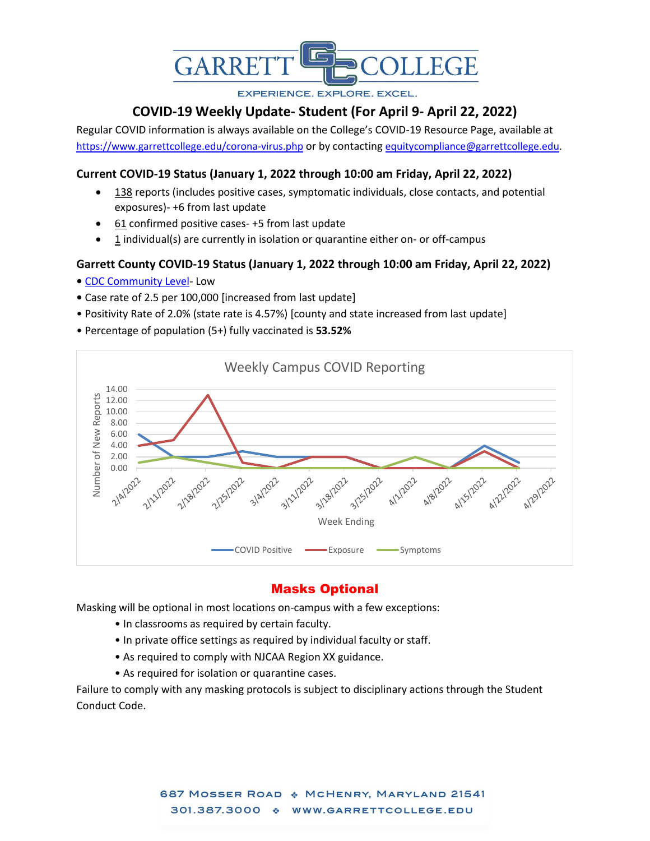

**EXPERIENCE, EXPLORE, EXCEL.** 

# **COVID-19 Weekly Update- Student (For April 9- April 22, 2022)**

Regular COVID information is always available on the College's COVID-19 Resource Page, available at <https://www.garrettcollege.edu/corona-virus.php> or by contacting [equitycompliance@garrettcollege.edu.](mailto:equitycompliance@garrettcollege.edu)

## **Current COVID-19 Status (January 1, 2022 through 10:00 am Friday, April 22, 2022)**

- $\bullet$  138 reports (includes positive cases, symptomatic individuals, close contacts, and potential exposures)- +6 from last update
- 61 confirmed positive cases- +5 from last update
- 1 individual(s) are currently in isolation or quarantine either on- or off-campus

#### **Garrett County COVID-19 Status (January 1, 2022 through 10:00 am Friday, April 22, 2022)**

- [CDC Community Level-](https://www.cdc.gov/coronavirus/2019-ncov/science/community-levels.html) Low
- Case rate of 2.5 per 100,000 [increased from last update]
- Positivity Rate of 2.0% (state rate is 4.57%) [county and state increased from last update]
- Percentage of population (5+) fully vaccinated is **53.52%**



## Masks Optional

Masking will be optional in most locations on-campus with a few exceptions:

- In classrooms as required by certain faculty.
- In private office settings as required by individual faculty or staff.
- As required to comply with NJCAA Region XX guidance.
- As required for isolation or quarantine cases.

Failure to comply with any masking protocols is subject to disciplinary actions through the Student Conduct Code.

> 687 MOSSER ROAD & MCHENRY, MARYLAND 21541 301.387.3000 \* WWW.GARRETTCOLLEGE.EDU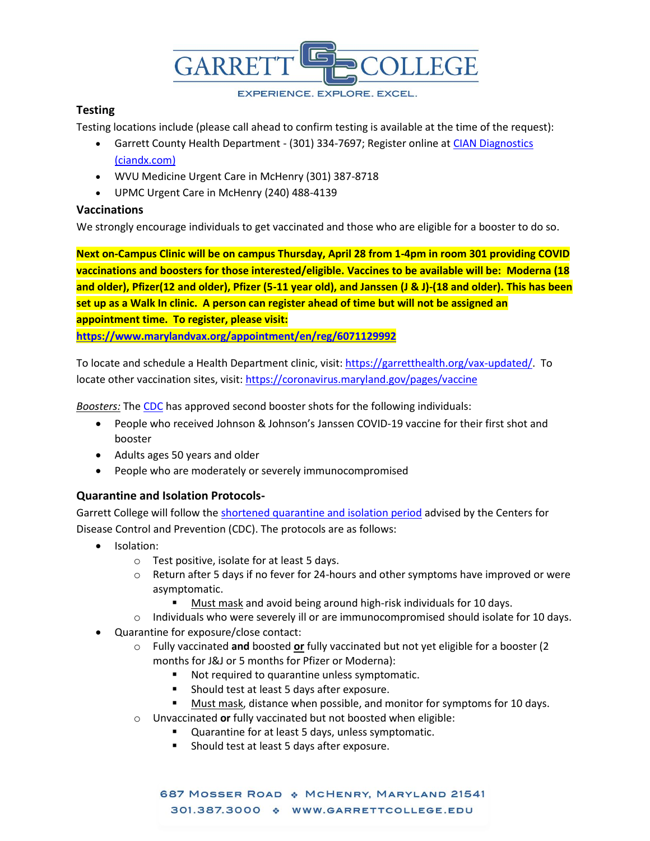

**EXPERIENCE. EXPLORE. EXCEL.** 

#### **Testing**

Testing locations include (please call ahead to confirm testing is available at the time of the request):

- Garrett County Health Department (301) 334-7697; Register online at CIAN Diagnostics [\(ciandx.com\)](https://portal.ciandx.com/register?team=garrett_county_hd)
- WVU Medicine Urgent Care in McHenry (301) 387-8718
- UPMC Urgent Care in McHenry (240) 488-4139

#### **Vaccinations**

We strongly encourage individuals to get vaccinated and those who are eligible for a booster to do so.

**Next on-Campus Clinic will be on campus Thursday, April 28 from 1-4pm in room 301 providing COVID vaccinations and boosters for those interested/eligible. Vaccines to be available will be: Moderna (18 and older), Pfizer(12 and older), Pfizer (5-11 year old), and Janssen (J & J)-(18 and older). This has been set up as a Walk In clinic. A person can register ahead of time but will not be assigned an appointment time. To register, please visit: [https://www.marylandvax.org/appointment/en/reg/6071129992](https://linkprotect.cudasvc.com/url?a=https%3a%2f%2fwww.marylandvax.org%2fappointment%2fen%2freg%2f6071129992&c=E,1,05umWB-YjxkblB9vle7mL6xAKkjW4dOBkt2m1GLKY5STksljSUCgjj4X7mGfafj0OX6c7Sde7H5MxyJMffml9Ml__1p6GdYdgwrUdx6Vz6YAVYdvkSMG&typo=1)**

To locate and schedule a Health Department clinic, visit: [https://garretthealth.org/vax-updated/.](https://garretthealth.org/vax-updated/) To locate other vaccination sites, visit:<https://coronavirus.maryland.gov/pages/vaccine>

*Boosters:* The [CDC](https://www.cdc.gov/coronavirus/2019-ncov/vaccines/booster-shot.html) has approved second booster shots for the following individuals:

- People who received Johnson & Johnson's Janssen COVID-19 vaccine for their first shot and booster
- Adults ages 50 years and older
- People who are moderately or severely immunocompromised

### **Quarantine and Isolation Protocols-**

Garrett College will follow the [shortened quarantine and isolation period](https://www.cdc.gov/coronavirus/2019-ncov/your-health/quarantine-isolation.html) advised by the Centers for Disease Control and Prevention (CDC). The protocols are as follows:

- Isolation:
	- o Test positive, isolate for at least 5 days.
	- $\circ$  Return after 5 days if no fever for 24-hours and other symptoms have improved or were asymptomatic.
		- Must mask and avoid being around high-risk individuals for 10 days.
	- $\circ$  Individuals who were severely ill or are immunocompromised should isolate for 10 days.
- Quarantine for exposure/close contact:
	- o Fully vaccinated **and** boosted **or** fully vaccinated but not yet eligible for a booster (2 months for J&J or 5 months for Pfizer or Moderna):
		- Not required to quarantine unless symptomatic.
		- Should test at least 5 days after exposure.
		- Must mask, distance when possible, and monitor for symptoms for 10 days.
	- o Unvaccinated **or** fully vaccinated but not boosted when eligible:
		- Quarantine for at least 5 days, unless symptomatic.
			- Should test at least 5 days after exposure.

687 MOSSER ROAD & MCHENRY, MARYLAND 21541 301.387.3000 \* WWW.GARRETTCOLLEGE.EDU